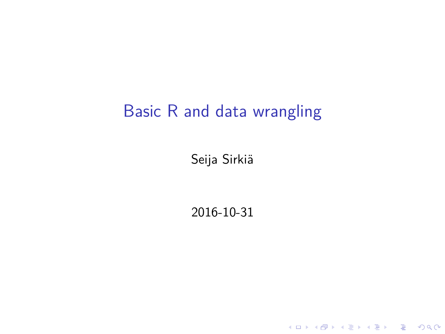### Basic R and data wrangling

Seija Sirkiä

2016-10-31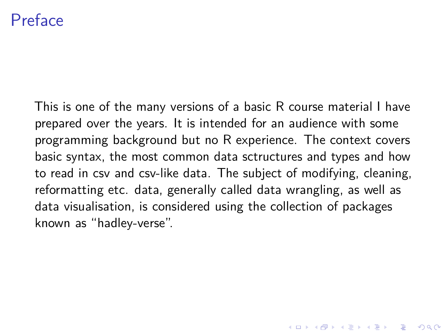### Preface

This is one of the many versions of a basic R course material I have prepared over the years. It is intended for an audience with some programming background but no R experience. The context covers basic syntax, the most common data sctructures and types and how to read in csv and csv-like data. The subject of modifying, cleaning, reformatting etc. data, generally called data wrangling, as well as data visualisation, is considered using the collection of packages known as "hadley-verse".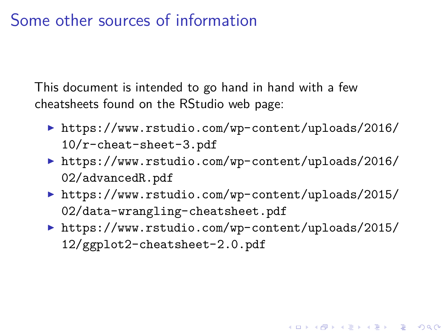### Some other sources of information

This document is intended to go hand in hand with a few cheatsheets found on the RStudio web page:

- ▶ [https://www.rstudio.com/wp-content/uploads/2016/](https://www.rstudio.com/wp-content/uploads/2016/10/r-cheat-sheet-3.pdf) [10/r-cheat-sheet-3.pdf](https://www.rstudio.com/wp-content/uploads/2016/10/r-cheat-sheet-3.pdf)
- ▶ [https://www.rstudio.com/wp-content/uploads/2016/](https://www.rstudio.com/wp-content/uploads/2016/02/advancedR.pdf) [02/advancedR.pdf](https://www.rstudio.com/wp-content/uploads/2016/02/advancedR.pdf)
- ▶ [https://www.rstudio.com/wp-content/uploads/2015/](https://www.rstudio.com/wp-content/uploads/2015/02/data-wrangling-cheatsheet.pdf) [02/data-wrangling-cheatsheet.pdf](https://www.rstudio.com/wp-content/uploads/2015/02/data-wrangling-cheatsheet.pdf)
- ▶ [https://www.rstudio.com/wp-content/uploads/2015/](https://www.rstudio.com/wp-content/uploads/2015/12/ggplot2-cheatsheet-2.0.pdf) [12/ggplot2-cheatsheet-2.0.pdf](https://www.rstudio.com/wp-content/uploads/2015/12/ggplot2-cheatsheet-2.0.pdf)

KID KA KERKER KID KO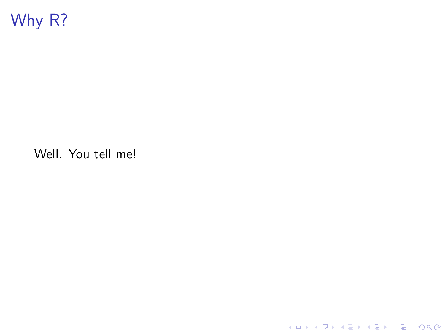

Well. You tell me!

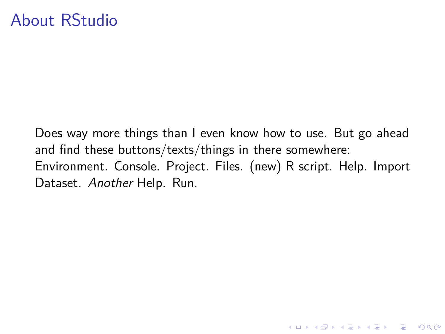### About RStudio

Does way more things than I even know how to use. But go ahead and find these buttons/texts/things in there somewhere: Environment. Console. Project. Files. (new) R script. Help. Import Dataset. Another Help. Run.

K ロ ▶ K 個 ▶ K 할 ▶ K 할 ▶ 이 할 → 9 Q Q →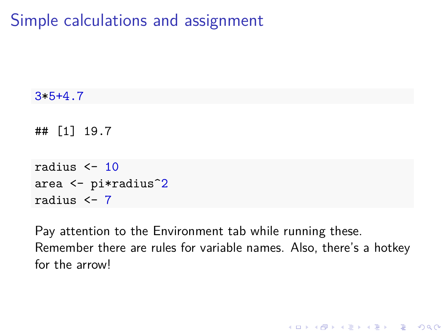Simple calculations and assignment

```
3*5+4.7
## [1] 19.7
radius \leq -10area <- pi*radius^2
radius <- 7
```
Pay attention to the Environment tab while running these. Remember there are rules for variable names. Also, there's a hotkey for the arrow!

K ロ ▶ K 個 ▶ K 할 ▶ K 할 ▶ 이 할 → 이익 @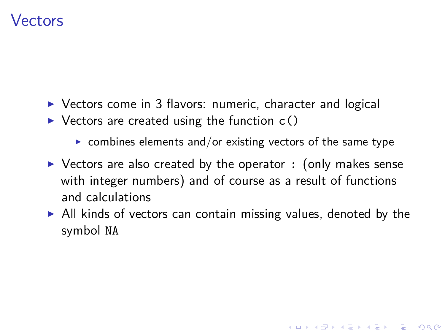### Vectors

- $\triangleright$  Vectors come in 3 flavors: numeric, character and logical
- $\triangleright$  Vectors are created using the function  $c()$ 
	- $\triangleright$  combines elements and/or existing vectors of the same type
- $\triangleright$  Vectors are also created by the operator : (only makes sense with integer numbers) and of course as a result of functions and calculations
- $\triangleright$  All kinds of vectors can contain missing values, denoted by the symbol NA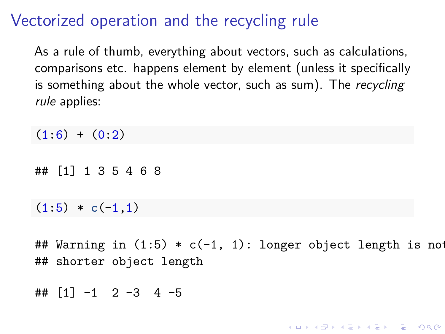## Vectorized operation and the recycling rule

As a rule of thumb, everything about vectors, such as calculations, comparisons etc. happens element by element (unless it specifically is something about the whole vector, such as sum). The recycling rule applies:

 $(1:6) + (0:2)$ 

## [1] 1 3 5 4 6 8

 $(1:5) * c(-1.1)$ 

## Warning in  $(1:5) * c(-1, 1)$ : longer object length is not ## shorter object length

**KORKARYKERKER POLO** 

 $\#$   $\#$   $\lceil 1 \rceil -1 2 -3 4 -5$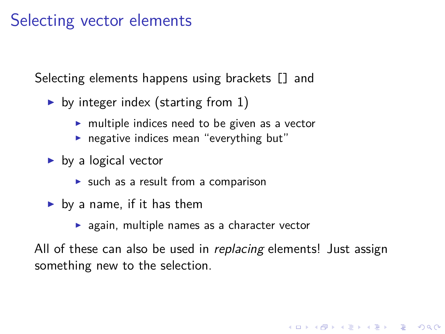### Selecting vector elements

Selecting elements happens using brackets [] and

- by integer index (starting from 1)
	- $\triangleright$  multiple indices need to be given as a vector
	- $\blacktriangleright$  negative indices mean "everything but"
- $\blacktriangleright$  by a logical vector
	- $\triangleright$  such as a result from a comparison
- $\blacktriangleright$  by a name, if it has them
	- $\blacktriangleright$  again, multiple names as a character vector

All of these can also be used in *replacing* elements! Just assign something new to the selection.

**KORKARYKERKER POLO**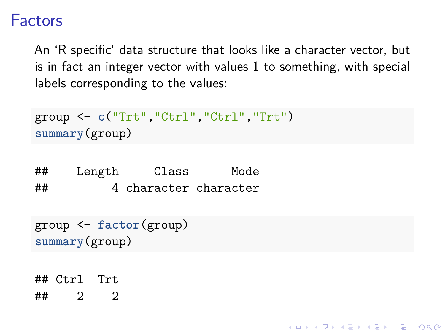#### Factors

An 'R specific' data structure that looks like a character vector, but is in fact an integer vector with values 1 to something, with special labels corresponding to the values:

**KORKARYKERKER POLO** 

```
group <- c("Trt","Ctrl","Ctrl","Trt")
summary(group)
```
## Length Class Mode ## 4 character character

```
group <- factor(group)
summary(group)
```

```
## Ctrl Trt
```
 $\#$  2 2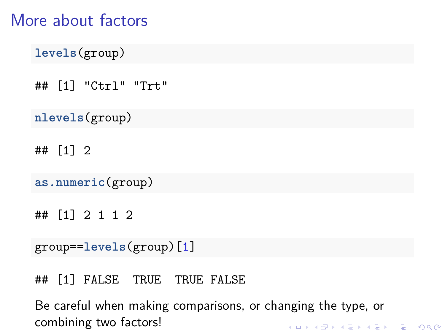### More about factors

```
levels(group)
```

```
## [1] "Ctrl" "Trt"
```

```
nlevels(group)
```
## [1] 2

```
as.numeric(group)
```

```
## [1] 2 1 1 2
```

```
group==levels(group)[1]
```
## [1] FALSE TRUE TRUE FALSE

Be careful when making comparisons, or changing the type, or combining two factors!K ロ ▶ K 個 ▶ K 할 ▶ K 할 ▶ 이 할 → 9 Q Q →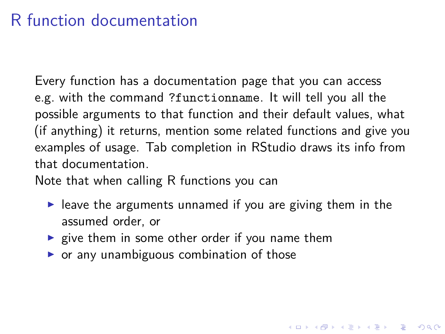## R function documentation

Every function has a documentation page that you can access e.g. with the command ?functionname. It will tell you all the possible arguments to that function and their default values, what (if anything) it returns, mention some related functions and give you examples of usage. Tab completion in RStudio draws its info from that documentation.

Note that when calling R functions you can

 $\blacktriangleright$  leave the arguments unnamed if you are giving them in the assumed order, or

KID KA KERKER KID KO

- $\triangleright$  give them in some other order if you name them
- $\triangleright$  or any unambiguous combination of those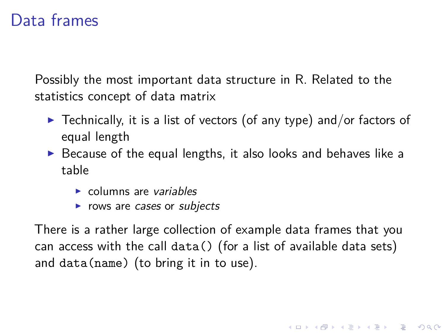### Data frames

Possibly the most important data structure in R. Related to the statistics concept of data matrix

- $\triangleright$  Technically, it is a list of vectors (of any type) and/or factors of equal length
- $\triangleright$  Because of the equal lengths, it also looks and behaves like a table
	- $\triangleright$  columns are variables
	- $\triangleright$  rows are cases or subjects

There is a rather large collection of example data frames that you can access with the call data() (for a list of available data sets) and data(name) (to bring it in to use).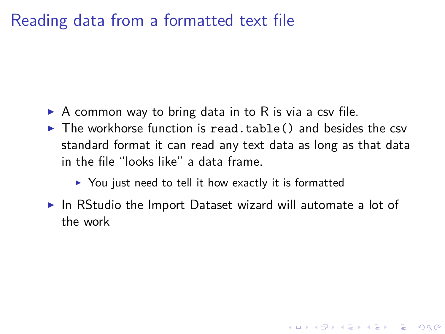### Reading data from a formatted text file

- $\triangleright$  A common way to bring data in to R is via a csv file.
- $\blacktriangleright$  The workhorse function is read.table() and besides the csv standard format it can read any text data as long as that data in the file "looks like" a data frame.
	- $\triangleright$  You just need to tell it how exactly it is formatted
- $\triangleright$  In RStudio the Import Dataset wizard will automate a lot of the work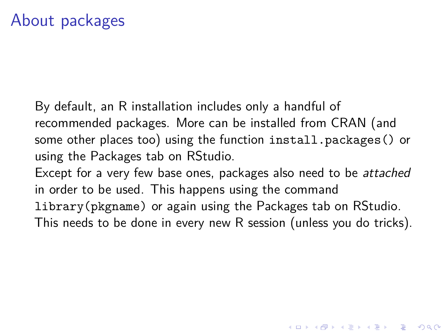By default, an R installation includes only a handful of recommended packages. More can be installed from CRAN (and some other places too) using the function install.packages() or using the Packages tab on RStudio.

Except for a very few base ones, packages also need to be attached in order to be used. This happens using the command

library(pkgname) or again using the Packages tab on RStudio.

This needs to be done in every new R session (unless you do tricks).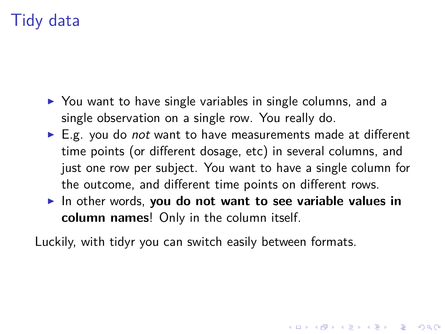# Tidy data

- $\triangleright$  You want to have single variables in single columns, and a single observation on a single row. You really do.
- $\blacktriangleright$  E.g. you do *not* want to have measurements made at different time points (or different dosage, etc) in several columns, and just one row per subject. You want to have a single column for the outcome, and different time points on different rows.
- In other words, **you do not want to see variable values in column names**! Only in the column itself.

4 0 > 4 4 + 4 = + 4 = + = + + 0 4 0 +

Luckily, with tidyr you can switch easily between formats.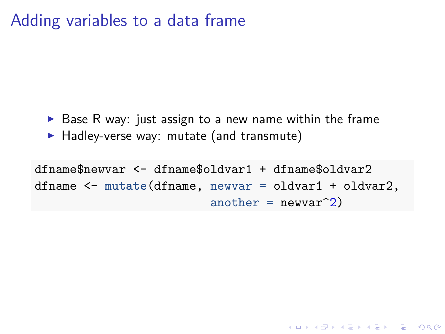### Adding variables to a data frame

- $\triangleright$  Base R way: just assign to a new name within the frame
- $\blacktriangleright$  Hadley-verse way: mutate (and transmute)

dfname\$newvar <- dfname\$oldvar1 + dfname\$oldvar2 dfname <- **mutate**(dfname, newvar = oldvar1 + oldvar2, another =  $newvar^2$ )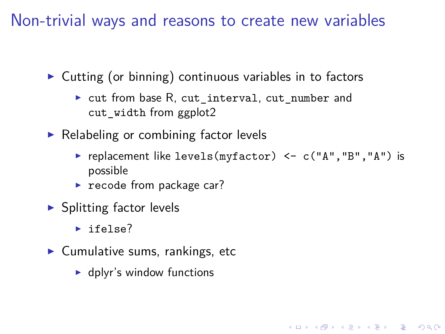Non-trivial ways and reasons to create new variables

 $\triangleright$  Cutting (or binning) continuous variables in to factors

- $\triangleright$  cut from base R, cut interval, cut number and cut width from ggplot2
- $\triangleright$  Relabeling or combining factor levels
	- P replacement like levels(myfactor)  $\leq$  c("A", "B", "A") is possible

**KORKAR KERKER SAGA** 

- $\blacktriangleright$  recode from package car?
- $\blacktriangleright$  Splitting factor levels
	- $\blacktriangleright$  ifelse?
- $\blacktriangleright$  Cumulative sums, rankings, etc
	- $\blacktriangleright$  dplyr's window functions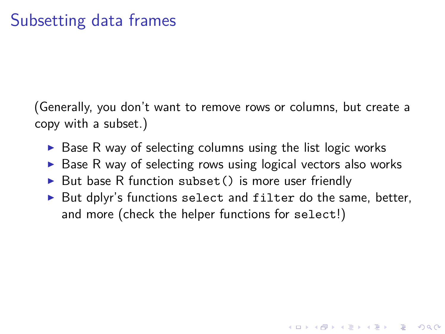(Generally, you don't want to remove rows or columns, but create a copy with a subset.)

- $\triangleright$  Base R way of selecting columns using the list logic works
- $\triangleright$  Base R way of selecting rows using logical vectors also works
- $\triangleright$  But base R function subset () is more user friendly
- $\triangleright$  But dplyr's functions select and filter do the same, better, and more (check the helper functions for select!)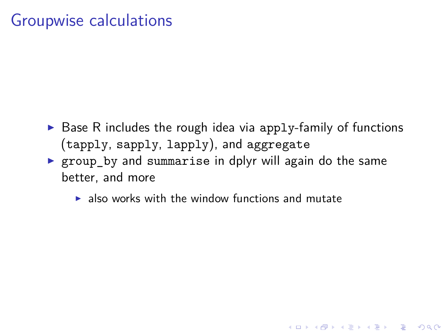#### Groupwise calculations

 $\triangleright$  Base R includes the rough idea via apply-family of functions (tapply, sapply, lapply), and aggregate

- $\triangleright$  group by and summarise in dplyr will again do the same better, and more
	- $\blacktriangleright$  also works with the window functions and mutate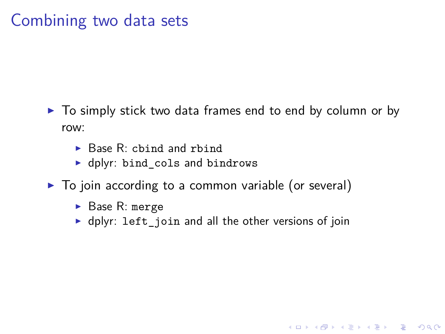### Combining two data sets

- $\triangleright$  To simply stick two data frames end to end by column or by row:
	- $\blacktriangleright$  Base R: chind and rhind
	- dplyr: bind cols and bindrows
- $\triangleright$  To join according to a common variable (or several)
	- $\blacktriangleright$  Base R: merge
	- $\blacktriangleright$  dplyr: left join and all the other versions of join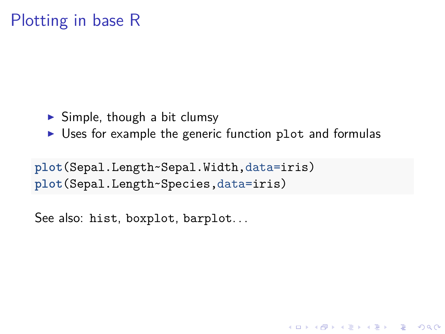### Plotting in base R

- $\triangleright$  Simple, though a bit clumsy
- $\triangleright$  Uses for example the generic function plot and formulas

**plot**(Sepal.Length~Sepal.Width,data=iris) **plot**(Sepal.Length~Species,data=iris)

See also: hist, boxplot, barplot...